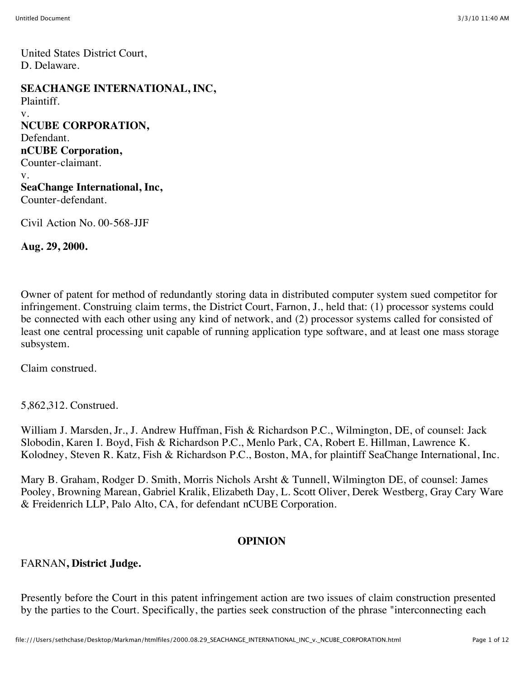United States District Court, D. Delaware.

**SEACHANGE INTERNATIONAL, INC,** Plaintiff. v. **NCUBE CORPORATION,** Defendant. **nCUBE Corporation,** Counter-claimant. v. **SeaChange International, Inc,** Counter-defendant.

Civil Action No. 00-568-JJF

**Aug. 29, 2000.**

Owner of patent for method of redundantly storing data in distributed computer system sued competitor for infringement. Construing claim terms, the District Court, Farnon, J., held that: (1) processor systems could be connected with each other using any kind of network, and (2) processor systems called for consisted of least one central processing unit capable of running application type software, and at least one mass storage subsystem.

Claim construed.

5,862,312. Construed.

William J. Marsden, Jr., J. Andrew Huffman, Fish & Richardson P.C., Wilmington, DE, of counsel: Jack Slobodin, Karen I. Boyd, Fish & Richardson P.C., Menlo Park, CA, Robert E. Hillman, Lawrence K. Kolodney, Steven R. Katz, Fish & Richardson P.C., Boston, MA, for plaintiff SeaChange International, Inc.

Mary B. Graham, Rodger D. Smith, Morris Nichols Arsht & Tunnell, Wilmington DE, of counsel: James Pooley, Browning Marean, Gabriel Kralik, Elizabeth Day, L. Scott Oliver, Derek Westberg, Gray Cary Ware & Freidenrich LLP, Palo Alto, CA, for defendant nCUBE Corporation.

### **OPINION**

#### FARNAN**, District Judge.**

Presently before the Court in this patent infringement action are two issues of claim construction presented by the parties to the Court. Specifically, the parties seek construction of the phrase "interconnecting each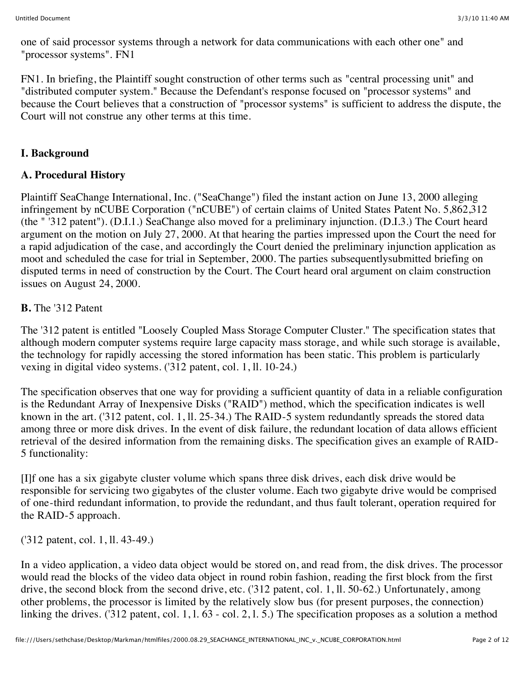one of said processor systems through a network for data communications with each other one" and "processor systems". FN1

FN1. In briefing, the Plaintiff sought construction of other terms such as "central processing unit" and "distributed computer system." Because the Defendant's response focused on "processor systems" and because the Court believes that a construction of "processor systems" is sufficient to address the dispute, the Court will not construe any other terms at this time.

# **I. Background**

# **A. Procedural History**

Plaintiff SeaChange International, Inc. ("SeaChange") filed the instant action on June 13, 2000 alleging infringement by nCUBE Corporation ("nCUBE") of certain claims of United States Patent No. 5,862,312 (the " '312 patent"). (D.I.1.) SeaChange also moved for a preliminary injunction. (D.I.3.) The Court heard argument on the motion on July 27, 2000. At that hearing the parties impressed upon the Court the need for a rapid adjudication of the case, and accordingly the Court denied the preliminary injunction application as moot and scheduled the case for trial in September, 2000. The parties subsequentlysubmitted briefing on disputed terms in need of construction by the Court. The Court heard oral argument on claim construction issues on August 24, 2000.

## **B.** The '312 Patent

The '312 patent is entitled "Loosely Coupled Mass Storage Computer Cluster." The specification states that although modern computer systems require large capacity mass storage, and while such storage is available, the technology for rapidly accessing the stored information has been static. This problem is particularly vexing in digital video systems. ('312 patent, col. 1, ll. 10-24.)

The specification observes that one way for providing a sufficient quantity of data in a reliable configuration is the Redundant Array of Inexpensive Disks ("RAID") method, which the specification indicates is well known in the art. ('312 patent, col. 1, ll. 25-34.) The RAID-5 system redundantly spreads the stored data among three or more disk drives. In the event of disk failure, the redundant location of data allows efficient retrieval of the desired information from the remaining disks. The specification gives an example of RAID-5 functionality:

[I]f one has a six gigabyte cluster volume which spans three disk drives, each disk drive would be responsible for servicing two gigabytes of the cluster volume. Each two gigabyte drive would be comprised of one-third redundant information, to provide the redundant, and thus fault tolerant, operation required for the RAID-5 approach.

('312 patent, col. 1, ll. 43-49.)

In a video application, a video data object would be stored on, and read from, the disk drives. The processor would read the blocks of the video data object in round robin fashion, reading the first block from the first drive, the second block from the second drive, etc. ('312 patent, col. 1, ll. 50-62.) Unfortunately, among other problems, the processor is limited by the relatively slow bus (for present purposes, the connection) linking the drives. ('312 patent, col. 1, 1. 63 - col. 2, 1. 5.) The specification proposes as a solution a method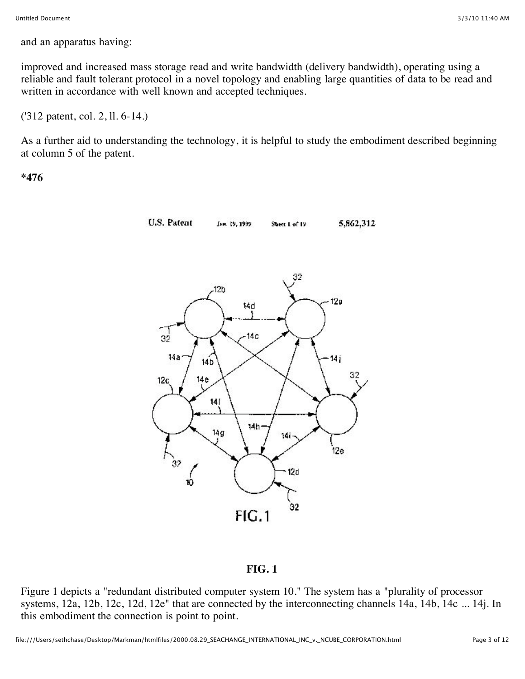and an apparatus having:

improved and increased mass storage read and write bandwidth (delivery bandwidth), operating using a reliable and fault tolerant protocol in a novel topology and enabling large quantities of data to be read and written in accordance with well known and accepted techniques.

('312 patent, col. 2, ll. 6-14.)

As a further aid to understanding the technology, it is helpful to study the embodiment described beginning at column 5 of the patent.

**\*476**



#### **FIG. 1**

Figure 1 depicts a "redundant distributed computer system 10." The system has a "plurality of processor systems, 12a, 12b, 12c, 12d, 12e" that are connected by the interconnecting channels 14a, 14b, 14c ... 14j. In this embodiment the connection is point to point.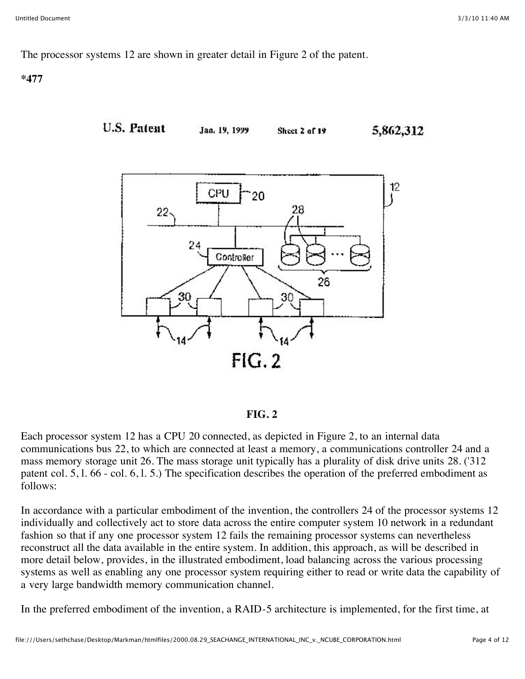The processor systems 12 are shown in greater detail in Figure 2 of the patent.

**\*477**



Jan. 19, 1999

Sheet 2 of 19

5,862,312



#### **FIG. 2**

Each processor system 12 has a CPU 20 connected, as depicted in Figure 2, to an internal data communications bus 22, to which are connected at least a memory, a communications controller 24 and a mass memory storage unit 26. The mass storage unit typically has a plurality of disk drive units 28. ('312 patent col. 5, l. 66 - col. 6, l. 5.) The specification describes the operation of the preferred embodiment as follows:

In accordance with a particular embodiment of the invention, the controllers 24 of the processor systems 12 individually and collectively act to store data across the entire computer system 10 network in a redundant fashion so that if any one processor system 12 fails the remaining processor systems can nevertheless reconstruct all the data available in the entire system. In addition, this approach, as will be described in more detail below, provides, in the illustrated embodiment, load balancing across the various processing systems as well as enabling any one processor system requiring either to read or write data the capability of a very large bandwidth memory communication channel.

In the preferred embodiment of the invention, a RAID-5 architecture is implemented, for the first time, at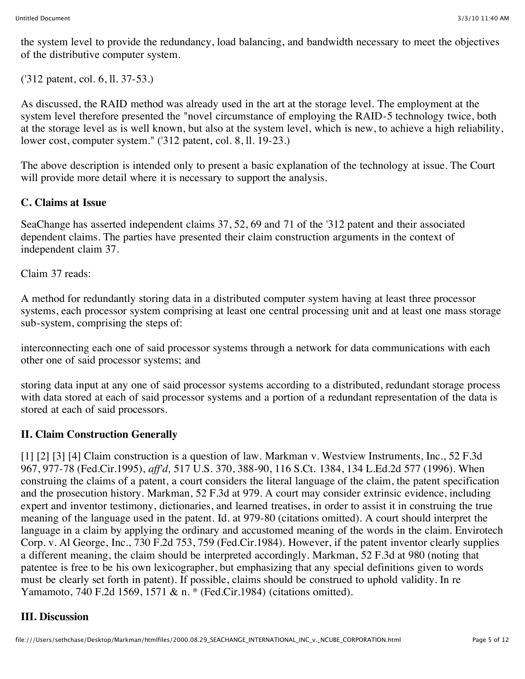the system level to provide the redundancy, load balancing, and bandwidth necessary to meet the objectives of the distributive computer system.

('312 patent, col. 6, ll. 37-53.)

As discussed, the RAID method was already used in the art at the storage level. The employment at the system level therefore presented the "novel circumstance of employing the RAID-5 technology twice, both at the storage level as is well known, but also at the system level, which is new, to achieve a high reliability, lower cost, computer system." ('312 patent, col. 8, ll. 19-23.)

The above description is intended only to present a basic explanation of the technology at issue. The Court will provide more detail where it is necessary to support the analysis.

# **C. Claims at Issue**

SeaChange has asserted independent claims 37, 52, 69 and 71 of the '312 patent and their associated dependent claims. The parties have presented their claim construction arguments in the context of independent claim 37.

Claim 37 reads:

A method for redundantly storing data in a distributed computer system having at least three processor systems, each processor system comprising at least one central processing unit and at least one mass storage sub-system, comprising the steps of:

interconnecting each one of said processor systems through a network for data communications with each other one of said processor systems; and

storing data input at any one of said processor systems according to a distributed, redundant storage process with data stored at each of said processor systems and a portion of a redundant representation of the data is stored at each of said processors.

# **II. Claim Construction Generally**

[1] [2] [3] [4] Claim construction is a question of law. Markman v. Westview Instruments, Inc., 52 F.3d 967, 977-78 (Fed.Cir.1995), *aff'd,* 517 U.S. 370, 388-90, 116 S.Ct. 1384, 134 L.Ed.2d 577 (1996). When construing the claims of a patent, a court considers the literal language of the claim, the patent specification and the prosecution history. Markman, 52 F.3d at 979. A court may consider extrinsic evidence, including expert and inventor testimony, dictionaries, and learned treatises, in order to assist it in construing the true meaning of the language used in the patent. Id. at 979-80 (citations omitted). A court should interpret the language in a claim by applying the ordinary and accustomed meaning of the words in the claim. Envirotech Corp. v. Al George, Inc., 730 F.2d 753, 759 (Fed.Cir.1984). However, if the patent inventor clearly supplies a different meaning, the claim should be interpreted accordingly. Markman, 52 F.3d at 980 (noting that patentee is free to be his own lexicographer, but emphasizing that any special definitions given to words must be clearly set forth in patent). If possible, claims should be construed to uphold validity. In re Yamamoto, 740 F.2d 1569, 1571 & n. \* (Fed.Cir.1984) (citations omitted).

# **III. Discussion**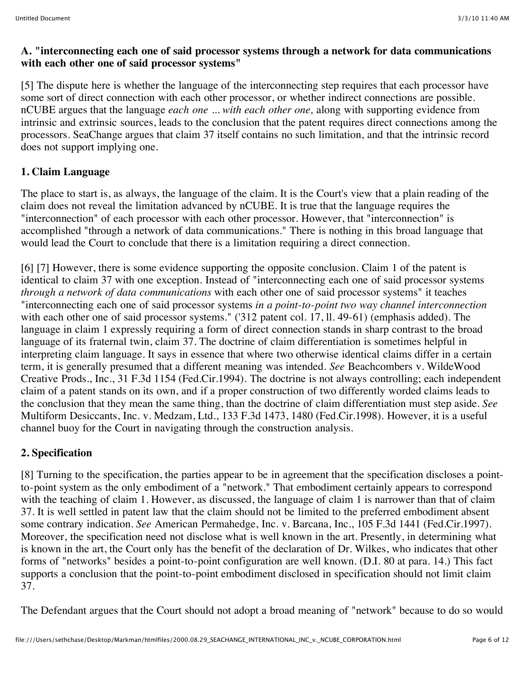### **A. "interconnecting each one of said processor systems through a network for data communications with each other one of said processor systems"**

[5] The dispute here is whether the language of the interconnecting step requires that each processor have some sort of direct connection with each other processor, or whether indirect connections are possible. nCUBE argues that the language *each one ... with each other one,* along with supporting evidence from intrinsic and extrinsic sources, leads to the conclusion that the patent requires direct connections among the processors. SeaChange argues that claim 37 itself contains no such limitation, and that the intrinsic record does not support implying one.

# **1. Claim Language**

The place to start is, as always, the language of the claim. It is the Court's view that a plain reading of the claim does not reveal the limitation advanced by nCUBE. It is true that the language requires the "interconnection" of each processor with each other processor. However, that "interconnection" is accomplished "through a network of data communications." There is nothing in this broad language that would lead the Court to conclude that there is a limitation requiring a direct connection.

[6] [7] However, there is some evidence supporting the opposite conclusion. Claim 1 of the patent is identical to claim 37 with one exception. Instead of "interconnecting each one of said processor systems *through a network of data communications* with each other one of said processor systems" it teaches "interconnecting each one of said processor systems *in a point-to-point two way channel interconnection* with each other one of said processor systems." ('312 patent col. 17, ll. 49-61) (emphasis added). The language in claim 1 expressly requiring a form of direct connection stands in sharp contrast to the broad language of its fraternal twin, claim 37. The doctrine of claim differentiation is sometimes helpful in interpreting claim language. It says in essence that where two otherwise identical claims differ in a certain term, it is generally presumed that a different meaning was intended. *See* Beachcombers v. WildeWood Creative Prods., Inc., 31 F.3d 1154 (Fed.Cir.1994). The doctrine is not always controlling; each independent claim of a patent stands on its own, and if a proper construction of two differently worded claims leads to the conclusion that they mean the same thing, than the doctrine of claim differentiation must step aside. *See* Multiform Desiccants, Inc. v. Medzam, Ltd., 133 F.3d 1473, 1480 (Fed.Cir.1998). However, it is a useful channel buoy for the Court in navigating through the construction analysis.

## **2. Specification**

[8] Turning to the specification, the parties appear to be in agreement that the specification discloses a pointto-point system as the only embodiment of a "network." That embodiment certainly appears to correspond with the teaching of claim 1. However, as discussed, the language of claim 1 is narrower than that of claim 37. It is well settled in patent law that the claim should not be limited to the preferred embodiment absent some contrary indication. *See* American Permahedge, Inc. v. Barcana, Inc., 105 F.3d 1441 (Fed.Cir.1997). Moreover, the specification need not disclose what is well known in the art. Presently, in determining what is known in the art, the Court only has the benefit of the declaration of Dr. Wilkes, who indicates that other forms of "networks" besides a point-to-point configuration are well known. (D.I. 80 at para. 14.) This fact supports a conclusion that the point-to-point embodiment disclosed in specification should not limit claim 37.

The Defendant argues that the Court should not adopt a broad meaning of "network" because to do so would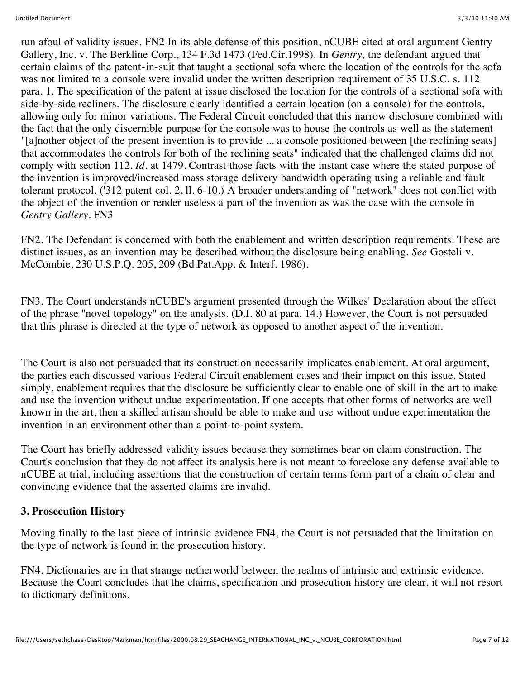run afoul of validity issues. FN2 In its able defense of this position, nCUBE cited at oral argument Gentry Gallery, Inc. v. The Berkline Corp., 134 F.3d 1473 (Fed.Cir.1998). In *Gentry,* the defendant argued that certain claims of the patent-in-suit that taught a sectional sofa where the location of the controls for the sofa was not limited to a console were invalid under the written description requirement of 35 U.S.C. s. 112 para. 1. The specification of the patent at issue disclosed the location for the controls of a sectional sofa with side-by-side recliners. The disclosure clearly identified a certain location (on a console) for the controls, allowing only for minor variations. The Federal Circuit concluded that this narrow disclosure combined with the fact that the only discernible purpose for the console was to house the controls as well as the statement "[a]nother object of the present invention is to provide ... a console positioned between [the reclining seats] that accommodates the controls for both of the reclining seats" indicated that the challenged claims did not comply with section 112. *Id.* at 1479. Contrast those facts with the instant case where the stated purpose of the invention is improved/increased mass storage delivery bandwidth operating using a reliable and fault tolerant protocol. ('312 patent col. 2, ll. 6-10.) A broader understanding of "network" does not conflict with the object of the invention or render useless a part of the invention as was the case with the console in *Gentry Gallery.* FN3

FN2. The Defendant is concerned with both the enablement and written description requirements. These are distinct issues, as an invention may be described without the disclosure being enabling. *See* Gosteli v. McCombie, 230 U.S.P.Q. 205, 209 (Bd.Pat.App. & Interf. 1986).

FN3. The Court understands nCUBE's argument presented through the Wilkes' Declaration about the effect of the phrase "novel topology" on the analysis. (D.I. 80 at para. 14.) However, the Court is not persuaded that this phrase is directed at the type of network as opposed to another aspect of the invention.

The Court is also not persuaded that its construction necessarily implicates enablement. At oral argument, the parties each discussed various Federal Circuit enablement cases and their impact on this issue. Stated simply, enablement requires that the disclosure be sufficiently clear to enable one of skill in the art to make and use the invention without undue experimentation. If one accepts that other forms of networks are well known in the art, then a skilled artisan should be able to make and use without undue experimentation the invention in an environment other than a point-to-point system.

The Court has briefly addressed validity issues because they sometimes bear on claim construction. The Court's conclusion that they do not affect its analysis here is not meant to foreclose any defense available to nCUBE at trial, including assertions that the construction of certain terms form part of a chain of clear and convincing evidence that the asserted claims are invalid.

### **3. Prosecution History**

Moving finally to the last piece of intrinsic evidence FN4, the Court is not persuaded that the limitation on the type of network is found in the prosecution history.

FN4. Dictionaries are in that strange netherworld between the realms of intrinsic and extrinsic evidence. Because the Court concludes that the claims, specification and prosecution history are clear, it will not resort to dictionary definitions.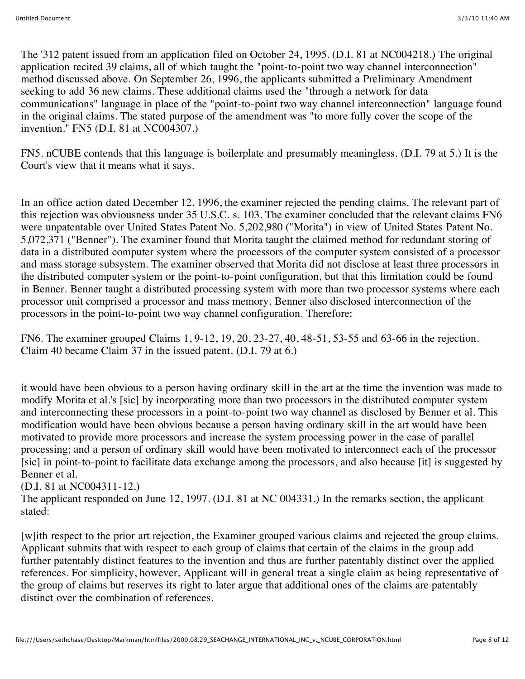The '312 patent issued from an application filed on October 24, 1995. (D.I. 81 at NC004218.) The original application recited 39 claims, all of which taught the "point-to-point two way channel interconnection" method discussed above. On September 26, 1996, the applicants submitted a Preliminary Amendment seeking to add 36 new claims. These additional claims used the "through a network for data communications" language in place of the "point-to-point two way channel interconnection" language found in the original claims. The stated purpose of the amendment was "to more fully cover the scope of the invention." FN5 (D.I. 81 at NC004307.)

FN5. nCUBE contends that this language is boilerplate and presumably meaningless. (D.I. 79 at 5.) It is the Court's view that it means what it says.

In an office action dated December 12, 1996, the examiner rejected the pending claims. The relevant part of this rejection was obviousness under 35 U.S.C. s. 103. The examiner concluded that the relevant claims FN6 were unpatentable over United States Patent No. 5,202,980 ("Morita") in view of United States Patent No. 5,072,371 ("Benner"). The examiner found that Morita taught the claimed method for redundant storing of data in a distributed computer system where the processors of the computer system consisted of a processor and mass storage subsystem. The examiner observed that Morita did not disclose at least three processors in the distributed computer system or the point-to-point configuration, but that this limitation could be found in Benner. Benner taught a distributed processing system with more than two processor systems where each processor unit comprised a processor and mass memory. Benner also disclosed interconnection of the processors in the point-to-point two way channel configuration. Therefore:

FN6. The examiner grouped Claims 1, 9-12, 19, 20, 23-27, 40, 48-51, 53-55 and 63-66 in the rejection. Claim 40 became Claim 37 in the issued patent. (D.I. 79 at 6.)

it would have been obvious to a person having ordinary skill in the art at the time the invention was made to modify Morita et al.'s [sic] by incorporating more than two processors in the distributed computer system and interconnecting these processors in a point-to-point two way channel as disclosed by Benner et al. This modification would have been obvious because a person having ordinary skill in the art would have been motivated to provide more processors and increase the system processing power in the case of parallel processing; and a person of ordinary skill would have been motivated to interconnect each of the processor [sic] in point-to-point to facilitate data exchange among the processors, and also because [it] is suggested by Benner et al.

(D.I. 81 at NC004311-12.)

The applicant responded on June 12, 1997. (D.I. 81 at NC 004331.) In the remarks section, the applicant stated:

[w]ith respect to the prior art rejection, the Examiner grouped various claims and rejected the group claims. Applicant submits that with respect to each group of claims that certain of the claims in the group add further patentably distinct features to the invention and thus are further patentably distinct over the applied references. For simplicity, however, Applicant will in general treat a single claim as being representative of the group of claims but reserves its right to later argue that additional ones of the claims are patentably distinct over the combination of references.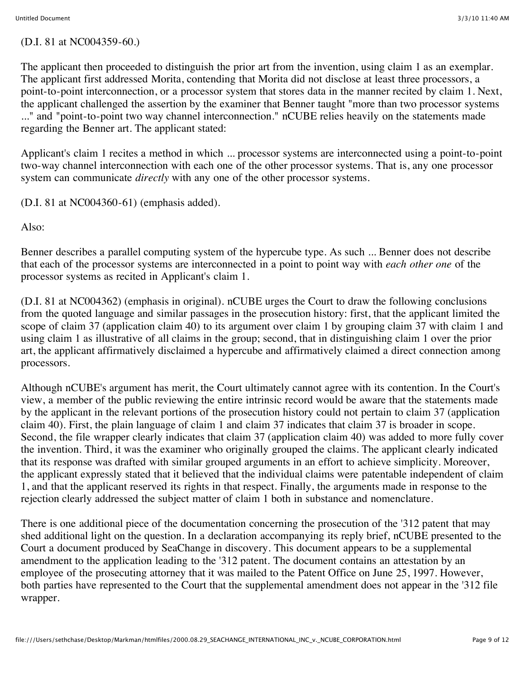### (D.I. 81 at NC004359-60.)

The applicant then proceeded to distinguish the prior art from the invention, using claim 1 as an exemplar. The applicant first addressed Morita, contending that Morita did not disclose at least three processors, a point-to-point interconnection, or a processor system that stores data in the manner recited by claim 1. Next, the applicant challenged the assertion by the examiner that Benner taught "more than two processor systems ..." and "point-to-point two way channel interconnection." nCUBE relies heavily on the statements made regarding the Benner art. The applicant stated:

Applicant's claim 1 recites a method in which ... processor systems are interconnected using a point-to-point two-way channel interconnection with each one of the other processor systems. That is, any one processor system can communicate *directly* with any one of the other processor systems.

(D.I. 81 at NC004360-61) (emphasis added).

Also:

Benner describes a parallel computing system of the hypercube type. As such ... Benner does not describe that each of the processor systems are interconnected in a point to point way with *each other one* of the processor systems as recited in Applicant's claim 1.

(D.I. 81 at NC004362) (emphasis in original). nCUBE urges the Court to draw the following conclusions from the quoted language and similar passages in the prosecution history: first, that the applicant limited the scope of claim 37 (application claim 40) to its argument over claim 1 by grouping claim 37 with claim 1 and using claim 1 as illustrative of all claims in the group; second, that in distinguishing claim 1 over the prior art, the applicant affirmatively disclaimed a hypercube and affirmatively claimed a direct connection among processors.

Although nCUBE's argument has merit, the Court ultimately cannot agree with its contention. In the Court's view, a member of the public reviewing the entire intrinsic record would be aware that the statements made by the applicant in the relevant portions of the prosecution history could not pertain to claim 37 (application claim 40). First, the plain language of claim 1 and claim 37 indicates that claim 37 is broader in scope. Second, the file wrapper clearly indicates that claim 37 (application claim 40) was added to more fully cover the invention. Third, it was the examiner who originally grouped the claims. The applicant clearly indicated that its response was drafted with similar grouped arguments in an effort to achieve simplicity. Moreover, the applicant expressly stated that it believed that the individual claims were patentable independent of claim 1, and that the applicant reserved its rights in that respect. Finally, the arguments made in response to the rejection clearly addressed the subject matter of claim 1 both in substance and nomenclature.

There is one additional piece of the documentation concerning the prosecution of the '312 patent that may shed additional light on the question. In a declaration accompanying its reply brief, nCUBE presented to the Court a document produced by SeaChange in discovery. This document appears to be a supplemental amendment to the application leading to the '312 patent. The document contains an attestation by an employee of the prosecuting attorney that it was mailed to the Patent Office on June 25, 1997. However, both parties have represented to the Court that the supplemental amendment does not appear in the '312 file wrapper.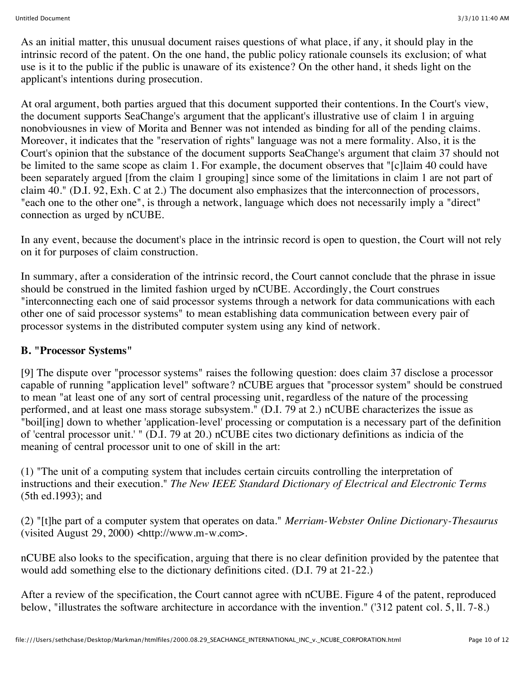As an initial matter, this unusual document raises questions of what place, if any, it should play in the intrinsic record of the patent. On the one hand, the public policy rationale counsels its exclusion; of what use is it to the public if the public is unaware of its existence? On the other hand, it sheds light on the applicant's intentions during prosecution.

At oral argument, both parties argued that this document supported their contentions. In the Court's view, the document supports SeaChange's argument that the applicant's illustrative use of claim 1 in arguing nonobviousnes in view of Morita and Benner was not intended as binding for all of the pending claims. Moreover, it indicates that the "reservation of rights" language was not a mere formality. Also, it is the Court's opinion that the substance of the document supports SeaChange's argument that claim 37 should not be limited to the same scope as claim 1. For example, the document observes that "[c]laim 40 could have been separately argued [from the claim 1 grouping] since some of the limitations in claim 1 are not part of claim 40." (D.I. 92, Exh. C at 2.) The document also emphasizes that the interconnection of processors, "each one to the other one", is through a network, language which does not necessarily imply a "direct" connection as urged by nCUBE.

In any event, because the document's place in the intrinsic record is open to question, the Court will not rely on it for purposes of claim construction.

In summary, after a consideration of the intrinsic record, the Court cannot conclude that the phrase in issue should be construed in the limited fashion urged by nCUBE. Accordingly, the Court construes "interconnecting each one of said processor systems through a network for data communications with each other one of said processor systems" to mean establishing data communication between every pair of processor systems in the distributed computer system using any kind of network.

## **B. "Processor Systems"**

[9] The dispute over "processor systems" raises the following question: does claim 37 disclose a processor capable of running "application level" software? nCUBE argues that "processor system" should be construed to mean "at least one of any sort of central processing unit, regardless of the nature of the processing performed, and at least one mass storage subsystem." (D.I. 79 at 2.) nCUBE characterizes the issue as "boil[ing] down to whether 'application-level' processing or computation is a necessary part of the definition of 'central processor unit.' " (D.I. 79 at 20.) nCUBE cites two dictionary definitions as indicia of the meaning of central processor unit to one of skill in the art:

(1) "The unit of a computing system that includes certain circuits controlling the interpretation of instructions and their execution." *The New IEEE Standard Dictionary of Electrical and Electronic Terms* (5th ed.1993); and

(2) "[t]he part of a computer system that operates on data." *Merriam-Webster Online Dictionary-Thesaurus* (visited August 29, 2000) <http://www.m-w.com>.

nCUBE also looks to the specification, arguing that there is no clear definition provided by the patentee that would add something else to the dictionary definitions cited. (D.I. 79 at 21-22.)

After a review of the specification, the Court cannot agree with nCUBE. Figure 4 of the patent, reproduced below, "illustrates the software architecture in accordance with the invention." ('312 patent col. 5, ll. 7-8.)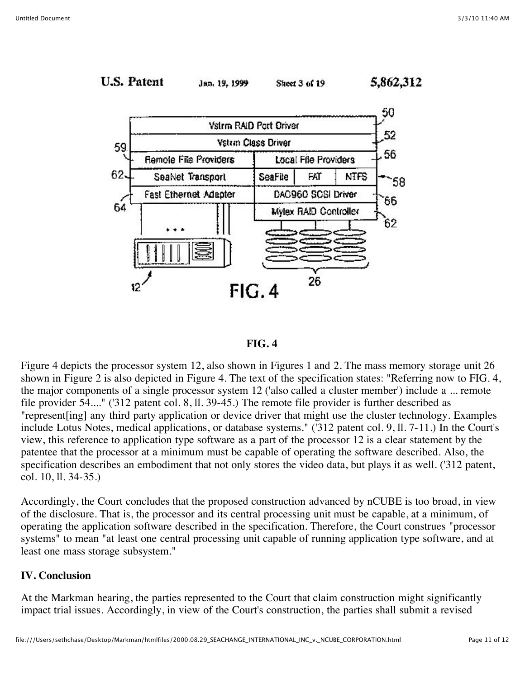



Figure 4 depicts the processor system 12, also shown in Figures 1 and 2. The mass memory storage unit 26 shown in Figure 2 is also depicted in Figure 4. The text of the specification states: "Referring now to FIG. 4, the major components of a single processor system 12 ('also called a cluster member') include a ... remote file provider 54...." ('312 patent col. 8, ll. 39-45.) The remote file provider is further described as "represent[ing] any third party application or device driver that might use the cluster technology. Examples include Lotus Notes, medical applications, or database systems." ('312 patent col. 9, ll. 7-11.) In the Court's view, this reference to application type software as a part of the processor 12 is a clear statement by the patentee that the processor at a minimum must be capable of operating the software described. Also, the specification describes an embodiment that not only stores the video data, but plays it as well. ('312 patent, col. 10, ll. 34-35.)

Accordingly, the Court concludes that the proposed construction advanced by nCUBE is too broad, in view of the disclosure. That is, the processor and its central processing unit must be capable, at a minimum, of operating the application software described in the specification. Therefore, the Court construes "processor systems" to mean "at least one central processing unit capable of running application type software, and at least one mass storage subsystem."

#### **IV. Conclusion**

At the Markman hearing, the parties represented to the Court that claim construction might significantly impact trial issues. Accordingly, in view of the Court's construction, the parties shall submit a revised